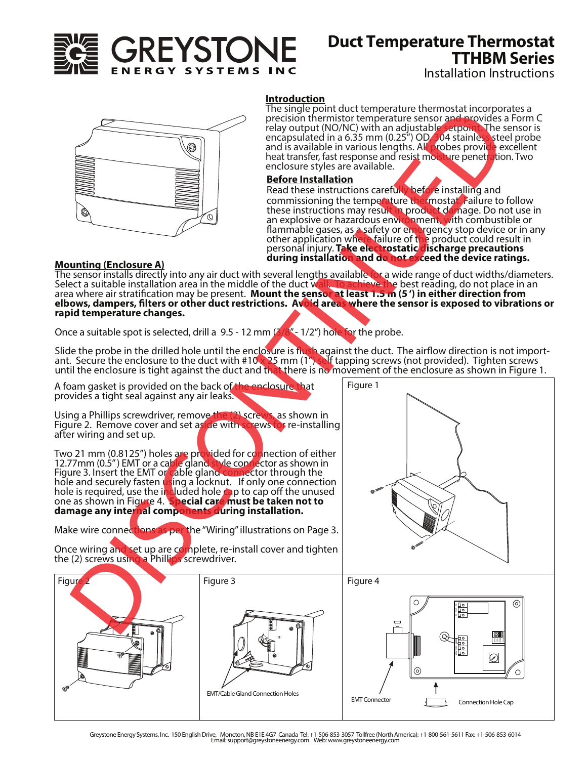

# **Duct Temperature Thermostat TTHBM Series**

Installation Instructions



# **Introduction**

The single point duct temperature thermostat incorporates a precision thermistor temperature sensor and provides a Form C relay output (NO/NC) with an adjustable setpoint. The sensor is encapsulated in a 6.35 mm (0.25") OD/304 stainless steel probe and is available in various lengths. All probes provide excellent heat transfer, fast response and resist moisture penetration. Two enclosure styles are available.

# **Before Installation**

Read these instructions carefully before installing and commissioning the temperature thermostat. Failure to follow these instructions may result in product damage. Do not use in an explosive or hazardous environment, with combustible or flammable gases, as a safety or emergency stop device or in any other application where failure of the product could result in personal injury. **Take electrostatic discharge precautions during installation and do not exceed the device ratings.** 

### **Mounting (Enclosure A)**

The sensor installs directly into any air duct with several lengths available for a wide range of duct widths/diameters. Select a suitable installation area in the middle of the duct w<mark>all. To achieve the</mark> best reading, do not place in an area where air stratification may be present. **Mount the sensor at least 1.5 m (5') in either direction from** area where an suddiction may be present. However, the sensor is in the sensor is exposed to vibrations or **elbows, dampers, filters or other duct restrictions.** Avoid areas where the sensor is exposed to vibrations or **rapid temperature changes.**

Once a suitable spot is selected, drill a 9.5 - 12 mm  $(3/8<sup>m</sup> - 1/2<sup>m</sup>)$  hole for the probe.

Slide the probe in the drilled hole until the enclosure is flush against the duct. The airflow direction is not import-<br>ant. Secure the enclosure to the duct with #10 x 25 mm (1″) self tapping screws (not provided). Tight until the enclosure is tight against the duct and that there is no movement of the enclosure as shown in Figure 1.

A foam gasket is provided on the back of the enclosure that provides a tight seal against any air leaks.

Using a Phillips screwdriver, remove the (2) screws, as shown in Figure 2. Remove cover and set as de with screws for re-installing after wiring and set up.

Two 21 mm (0.8125") holes are provided for connection of either 12.77mm (0.5") EMT or a cable gland style connector as shown in Figure 3. Insert the EMT or cable gland connector through the<br>hole and securely fasten using a locknut. If only one connection hole is required, use the included hole cap to cap off the unused one as shown in Figure 4. **Special care must be taken not to damage any internal components during installation.** 

Make wire connections as per the "Wiring" illustrations on Page 3.

Once wiring and set up are complete, re-install cover and tighten the (2) screws using a Phillips screwdriver.







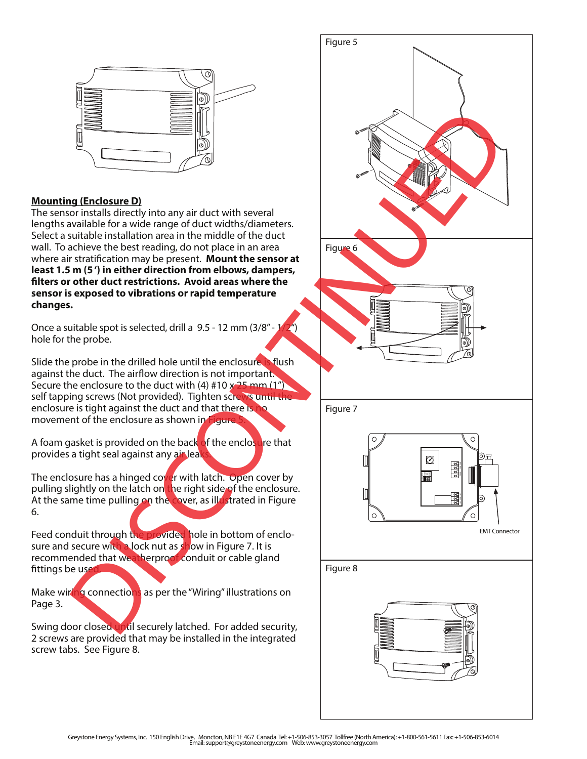

# **Mounting (Enclosure D)**

The sensor installs directly into any air duct with several lengths available for a wide range of duct widths/diameters. Select a suitable installation area in the middle of the duct wall. To achieve the best reading, do not place in an area where air stratification may be present. **Mount the sensor at least 1.5 m (5 ') in either direction from elbows, dampers, lters or other duct restrictions. Avoid areas where the sensor is exposed to vibrations or rapid temperature changes.**

Once a suitable spot is selected, drill a 9.5 - 12 mm (3/8" - 1 hole for the probe.

Slide the probe in the drilled hole until the enclosure is flush against the duct. The airflow direction is not important. Secure the enclosure to the duct with  $(4)$  #10 x  $25$  mm  $(1")$ self tapping screws (Not provided). Tighten screws until the enclosure is tight against the duct and that there is no movement of the enclosure as shown in Figure

A foam gasket is provided on the back of the enclosure that provides a tight seal against any air leak

The enclosure has a hinged cover with latch. Open cover by pulling slightly on the latch on the right side of the enclosure. At the same time pulling on the cover, as illustrated in Figure 6.

Feed conduit through the provided hole in bottom of enclosure and secure with a lock nut as show in Figure 7. It is recommended that weatherproof conduit or cable gland fittings be use

Make wiring connections as per the "Wiring" illustrations on Page 3.

Swing door closed until securely latched. For added security, 2 screws are provided that may be installed in the integrated screw tabs. See Figure 8.

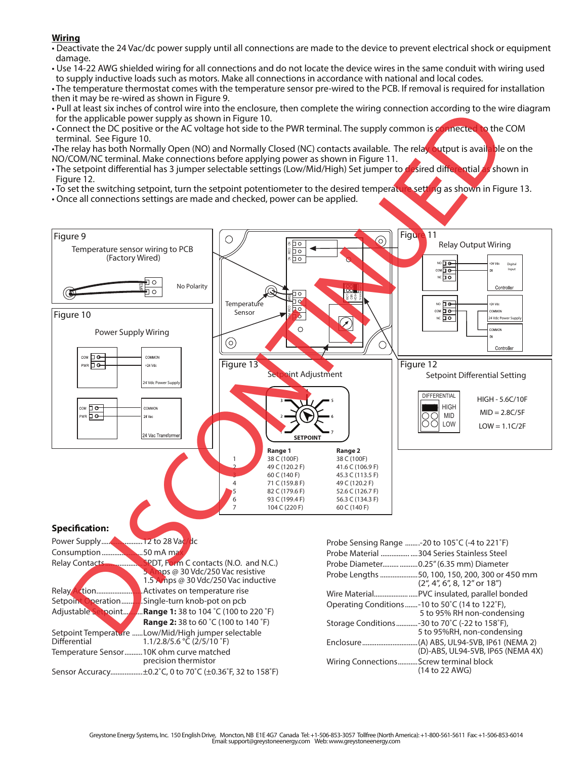- **Wiring** Deactivate the 24 Vac/dc power supply until all connections are made to the device to prevent electrical shock or equipment damage.
- Use 14-22 AWG shielded wiring for all connections and do not locate the device wires in the same conduit with wiring used to supply inductive loads such as motors. Make all connections in accordance with national and local codes.

• The temperature thermostat comes with the temperature sensor pre-wired to the PCB. If removal is required for installation then it may be re-wired as shown in Figure 9.

- Pull at least six inches of control wire into the enclosure, then complete the wiring connection according to the wire diagram for the applicable power supply as shown in Figure 10.
- Connect the DC positive or the AC voltage hot side to the PWR terminal. The supply common is connected to the COM terminal. See Figure 10.

•The relay has both Normally Open (NO) and Normally Closed (NC) contacts available. The relay output is available on the NO/COM/NC terminal. Make connections before applying power as shown in Figure 11.

- The setpoint differential has 3 jumper selectable settings (Low/Mid/High) Set jumper to desired differential as shown in Figure 12.
- To set the switching setpoint, turn the setpoint potentiometer to the desired temperature setting as shown in Figure 13.
- Once all connections settings are made and checked, power can be applied.



Power Supply.......................12 to 28 Vac/dc Consumption.......................50 mA max

| <b>Relay Contacts</b> | SPDT, Form C contacts (N.O. and N.C.)               |
|-----------------------|-----------------------------------------------------|
|                       | mps @ 30 Vdc/250 Vac resistive                      |
|                       | 1.5 Arrips @ 30 Vdc/250 Vac inductive               |
| Relay<br>tion.        | Activates on temperature rise                       |
| Setpoint Operation    | Single-turn knob-pot on pcb.                        |
| Adjustable Setpoint   | <b>Range 1:</b> 38 to 104 °C (100 to 220 °F)        |
|                       | <b>Range 2:</b> 38 to 60 °C (100 to 140 °F)         |
|                       | Setpoint Temperature Low/Mid/High jumper selectable |
| Differential          | $1.1/2.8/5.6$ °C (2/5/10 °F)                        |
|                       | Temperature Sensor10K ohm curve matched             |
|                       | precision thermistor                                |
| Sensor Accuracy.      | ±0.2°C, 0 to 70°C (±0.36°F, 32 to 158°F)            |

| Probe Sensing Range -20 to 105°C (-4 to 221°F)                                                                                                          |
|---------------------------------------------------------------------------------------------------------------------------------------------------------|
| Probe Material 304 Series Stainless Steel                                                                                                               |
| Probe Diameter  0.25" (6.35 mm) Diameter                                                                                                                |
| Probe Lengths 50, 100, 150, 200, 300 or 450 mm<br>$(2^{\prime\prime}, 4^{\prime\prime}, 6^{\prime\prime}, 8, 12^{\prime\prime}$ or $18^{\prime\prime})$ |
|                                                                                                                                                         |
| Operating Conditions -10 to 50°C (14 to 122°F),<br>5 to 95% RH non-condensing                                                                           |
| Storage Conditions-30 to 70°C (-22 to 158°F),<br>5 to 95%RH, non-condensing                                                                             |
| (D)-ABS, UL94-5VB, IP65 (NEMA 4X)                                                                                                                       |
| Wiring ConnectionsScrew terminal block<br>(14 to 22 AWG)                                                                                                |
|                                                                                                                                                         |